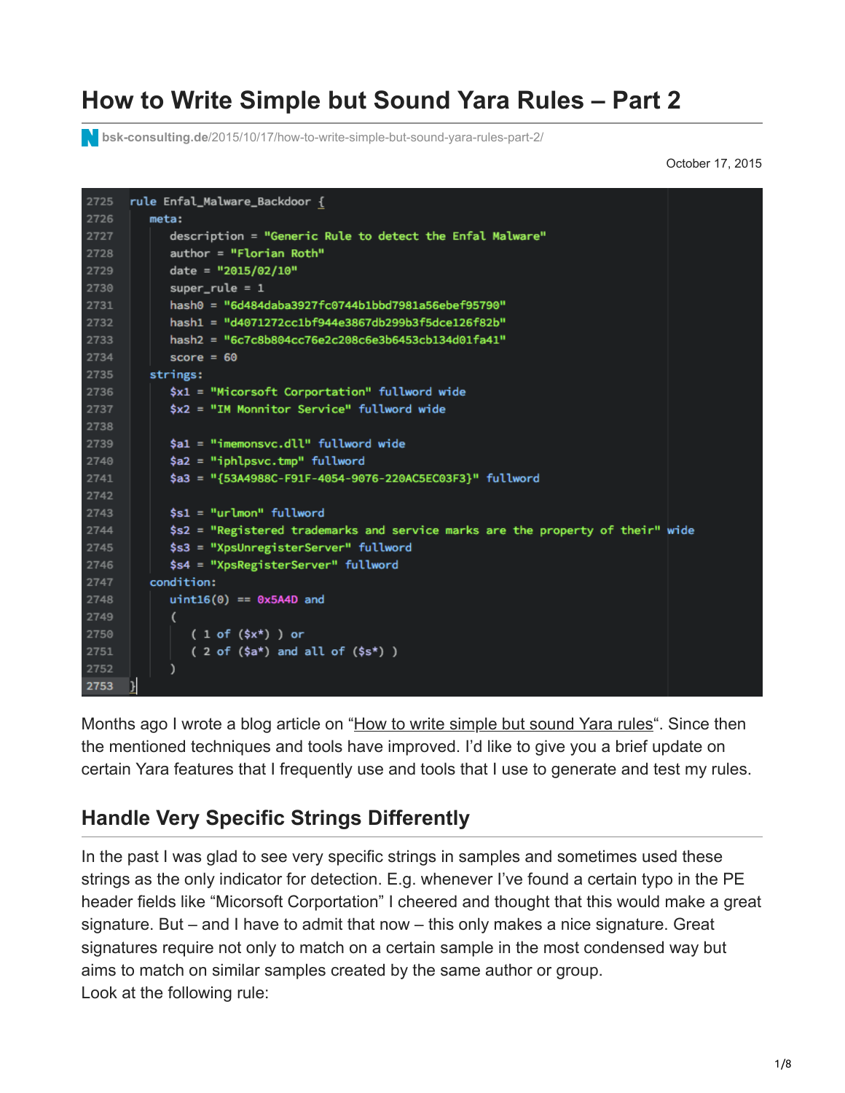# **How to Write Simple but Sound Yara Rules – Part 2**

**bsk-consulting.de**[/2015/10/17/how-to-write-simple-but-sound-yara-rules-part-2/](https://www.bsk-consulting.de/2015/10/17/how-to-write-simple-but-sound-yara-rules-part-2/)

October 17, 2015

```
2725
      rule Enfal_Malware_Backdoor {
2726
         meta:
2727
             description = "Generic Rule to detect the Enfal Malware"
             author = "Florian Roth"
2728
2729
            date = "2015/02/10"
2730
            super_{rule} = 1hash0 = "6d484daba3927fc0744b1bbd7981a56ebef95790"
2731
            hash1 = "d4071272cc1bf944e3867db299b3f5dce126f82b"
2732
            hash2 = "6c7c8b804cc76e2c208c6e3b6453cb134d01fa41"
2733
            score = 602734
2735
          strings:
2736
             $x1 = "Micorsoft Corportation" fullword wide
             $x2 = "IM Monnitor Service" fullword wide
2737
2738
2739
             $a1 = "imemonsvc.edu" fullword wide
             $a2 = "iphlpsvc.tmp" fullword
2740
             $a3 = "{53A4988C-F91F-4054-9076-220AC5EC03F3}" fullword
2741
2742
2743
             $s1 = "urlmon" fullword$s2 = "Registered trademarks and service marks are the property of their" wide
2744
2745
             $s3 = "XpsUnregisterServer" fullword
             $s4 = "XpsRegisterServer" fullword
2746
2747
          condition:
2748
             uint16(0) == 0x5A4D and
2749
             \overline{ }(1 of ($x<sup>*</sup>) ) or2750
2751
                (2 of ($a<sup>*</sup>) and all of ($s<sup>*</sup>))
2752
             \lambda2753
```
Months ago I wrote a blog article on ["How to write simple but sound Yara rules"](https://www.bsk-consulting.de/2015/02/16/write-simple-sound-yara-rules/). Since then the mentioned techniques and tools have improved. I'd like to give you a brief update on certain Yara features that I frequently use and tools that I use to generate and test my rules.

#### **Handle Very Specific Strings Differently**

In the past I was glad to see very specific strings in samples and sometimes used these strings as the only indicator for detection. E.g. whenever I've found a certain typo in the PE header fields like "Micorsoft Corportation" I cheered and thought that this would make a great signature. But – and I have to admit that now – this only makes a nice signature. Great signatures require not only to match on a certain sample in the most condensed way but aims to match on similar samples created by the same author or group. Look at the following rule: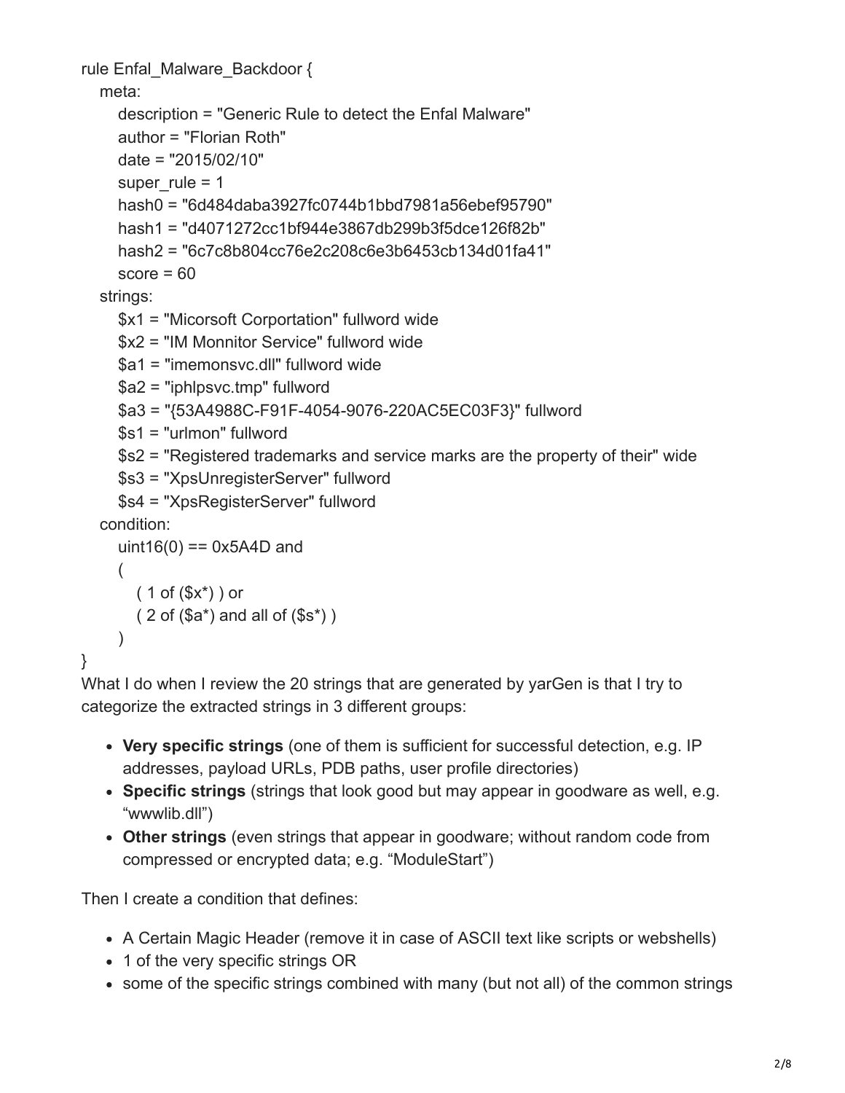```
rule Enfal_Malware_Backdoor {
   meta:
     description = "Generic Rule to detect the Enfal Malware"
     author = "Florian Roth"
     date = "2015/02/10"
    super rule = 1 hash0 = "6d484daba3927fc0744b1bbd7981a56ebef95790"
     hash1 = "d4071272cc1bf944e3867db299b3f5dce126f82b"
     hash2 = "6c7c8b804cc76e2c208c6e3b6453cb134d01fa41"
    score = 60 strings:
     $x1 = "Micorsoft Corportation" fullword wide
     $x2 = "IM Monnitor Service" fullword wide
      $a1 = "imemonsvc.dll" fullword wide
     $a2 = "iphlpsvc.tmp" fullword
     $a3 = "{53A4988C-F91F-4054-9076-220AC5EC03F3}" fullword
     $s1 = "urlmon" fullword
     $s2 = "Registered trademarks and service marks are the property of their" wide
     $s3 = "XpsUnregisterServer" fullword
     $s4 = "XpsRegisterServer" fullword
   condition:
    uint16(0) = 0x5A4D and
     (
       (1 of (\$x^*)) or
       (2 \text{ of } (\$a^*) and all of (\$s^*))
     )
```

```
}
```
What I do when I review the 20 strings that are generated by yarGen is that I try to categorize the extracted strings in 3 different groups:

- **Very specific strings** (one of them is sufficient for successful detection, e.g. IP addresses, payload URLs, PDB paths, user profile directories)
- **Specific strings** (strings that look good but may appear in goodware as well, e.g. "wwwlib.dll")
- **Other strings** (even strings that appear in goodware; without random code from compressed or encrypted data; e.g. "ModuleStart")

Then I create a condition that defines:

- A Certain Magic Header (remove it in case of ASCII text like scripts or webshells)
- 1 of the very specific strings OR
- some of the specific strings combined with many (but not all) of the common strings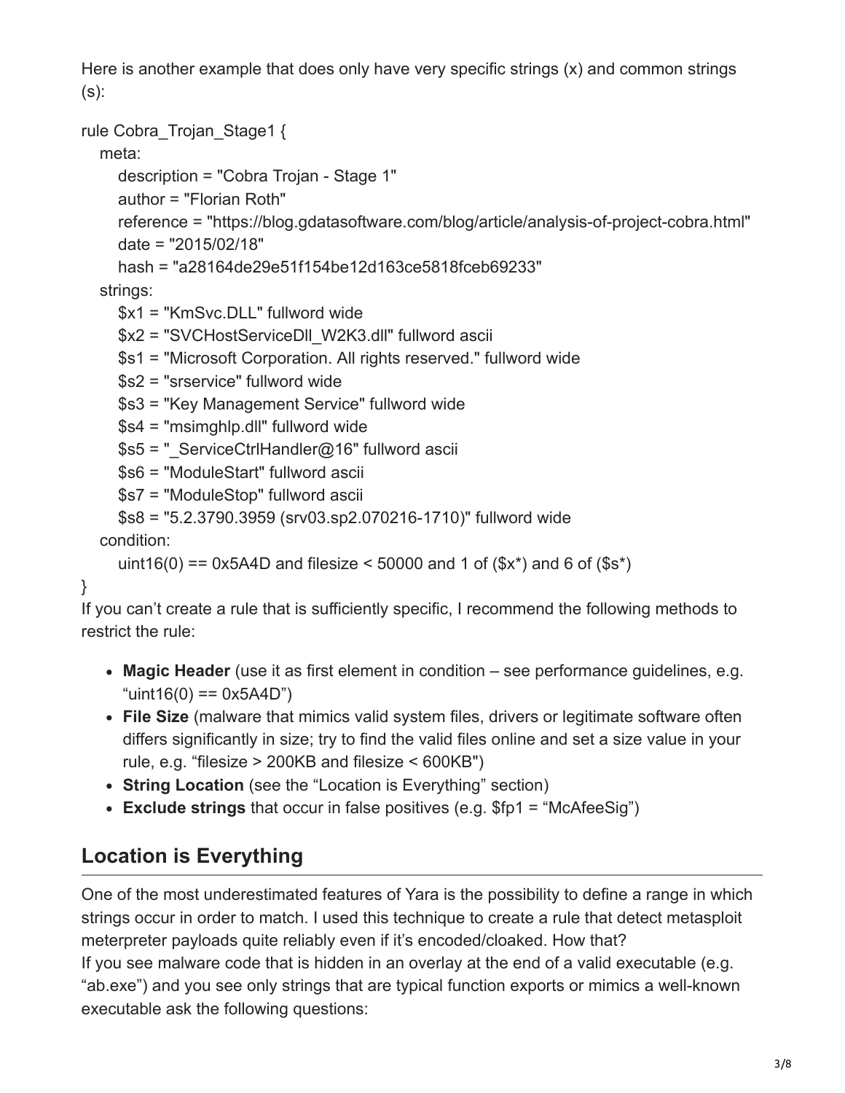Here is another example that does only have very specific strings (x) and common strings  $(s)$ :

```
rule Cobra Trojan Stage1 {
```
meta:

```
 description = "Cobra Trojan - Stage 1"
```

```
 author = "Florian Roth"
```
 reference = "https://blog.gdatasoftware.com/blog/article/analysis-of-project-cobra.html" date = "2015/02/18"

hash = "a28164de29e51f154be12d163ce5818fceb69233"

strings:

\$x1 = "KmSvc.DLL" fullword wide

\$x2 = "SVCHostServiceDll\_W2K3.dll" fullword ascii

```
 $s1 = "Microsoft Corporation. All rights reserved." fullword wide
```
\$s2 = "srservice" fullword wide

\$s3 = "Key Management Service" fullword wide

\$s4 = "msimghlp.dll" fullword wide

\$s5 = " ServiceCtrlHandler@16" fullword ascii

```
 $s6 = "ModuleStart" fullword ascii
```

```
 $s7 = "ModuleStop" fullword ascii
```

```
 $s8 = "5.2.3790.3959 (srv03.sp2.070216-1710)" fullword wide
```
condition:

```
uint16(0) == 0x5A4D and filesize < 50000 and 1 of (\$x^*) and 6 of (\$s^*)
```
}

If you can't create a rule that is sufficiently specific, I recommend the following methods to restrict the rule:

- **Magic Header** (use it as first element in condition see performance guidelines, e.g.  $"uint16(0) == 0x5A4D"$
- **File Size** (malware that mimics valid system files, drivers or legitimate software often differs significantly in size; try to find the valid files online and set a size value in your rule, e.g. "filesize > 200KB and filesize < 600KB")
- **String Location** (see the "Location is Everything" section)
- **Exclude strings** that occur in false positives (e.g. \$fp1 = "McAfeeSig")

# **Location is Everything**

One of the most underestimated features of Yara is the possibility to define a range in which strings occur in order to match. I used this technique to create a rule that detect metasploit meterpreter payloads quite reliably even if it's encoded/cloaked. How that? If you see malware code that is hidden in an overlay at the end of a valid executable (e.g. "ab.exe") and you see only strings that are typical function exports or mimics a well-known executable ask the following questions: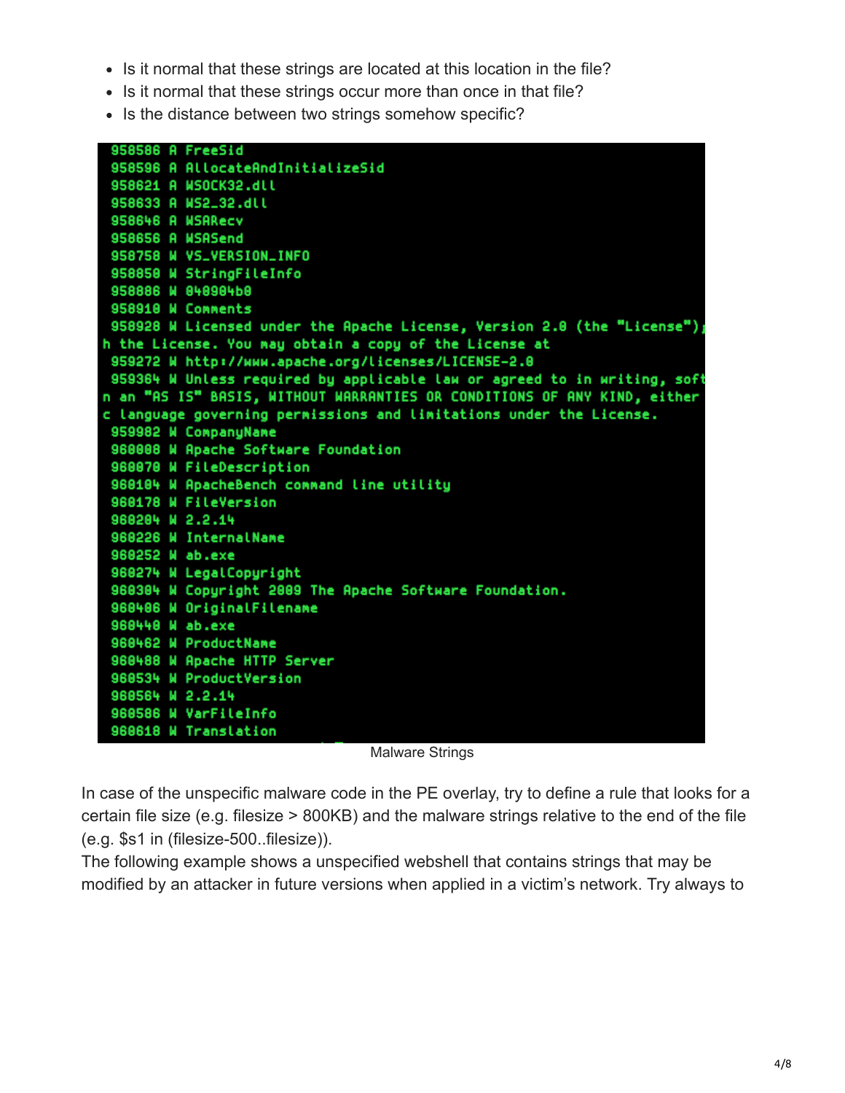- In it normal that these strings are located at this location in the file?
- Is it normal that these strings occur more than once in that file?
- Is the distance between two strings somehow specific?



Malware Strings

In case of the unspecific malware code in the PE overlay, try to define a rule that looks for a certain file size (e.g. filesize > 800KB) and the malware strings relative to the end of the file (e.g. \$s1 in (filesize-500..filesize)).

The following example shows a unspecified webshell that contains strings that may be modified by an attacker in future versions when applied in a victim's network. Try always to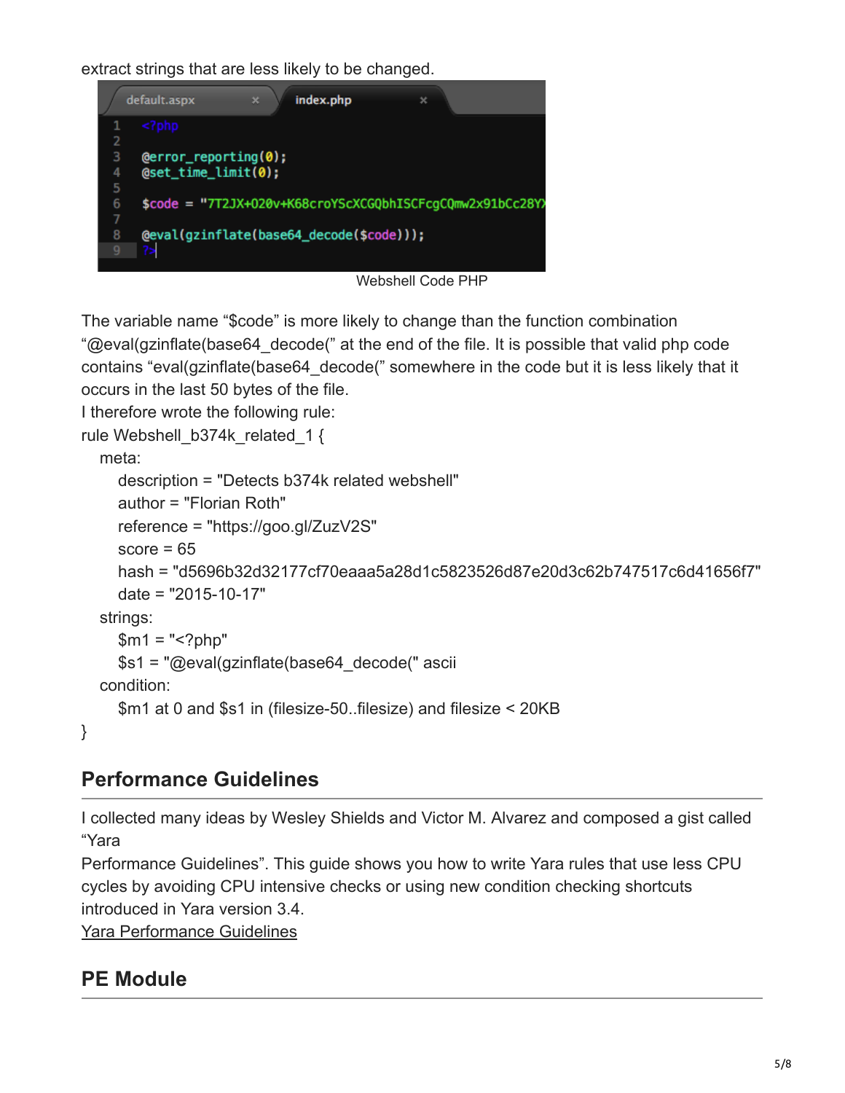extract strings that are less likely to be changed.



Webshell Code PHP

The variable name "\$code" is more likely to change than the function combination "@eval(gzinflate(base64\_decode(" at the end of the file. It is possible that valid php code contains "eval(gzinflate(base64\_decode(" somewhere in the code but it is less likely that it occurs in the last 50 bytes of the file.

I therefore wrote the following rule:

```
rule Webshell_b374k_related_1 {
```
#### meta:

}

```
 description = "Detects b374k related webshell"
   author = "Florian Roth"
   reference = "https://goo.gl/ZuzV2S"
  score = 65 hash = "d5696b32d32177cf70eaaa5a28d1c5823526d87e20d3c62b747517c6d41656f7"
   date = "2015-10-17"
 strings:
  $m1 = "<?php" $s1 = "@eval(gzinflate(base64_decode(" ascii
 condition:
   $m1 at 0 and $s1 in (filesize-50..filesize) and filesize < 20KB
```
## **Performance Guidelines**

I collected many ideas by Wesley Shields and Victor M. Alvarez and composed a gist called "Yara

Performance Guidelines". This guide shows you how to write Yara rules that use less CPU cycles by avoiding CPU intensive checks or using new condition checking shortcuts introduced in Yara version 3.4.

[Yara Performance Guidelines](https://gist.github.com/Neo23x0/e3d4e316d7441d9143c7)

## **PE Module**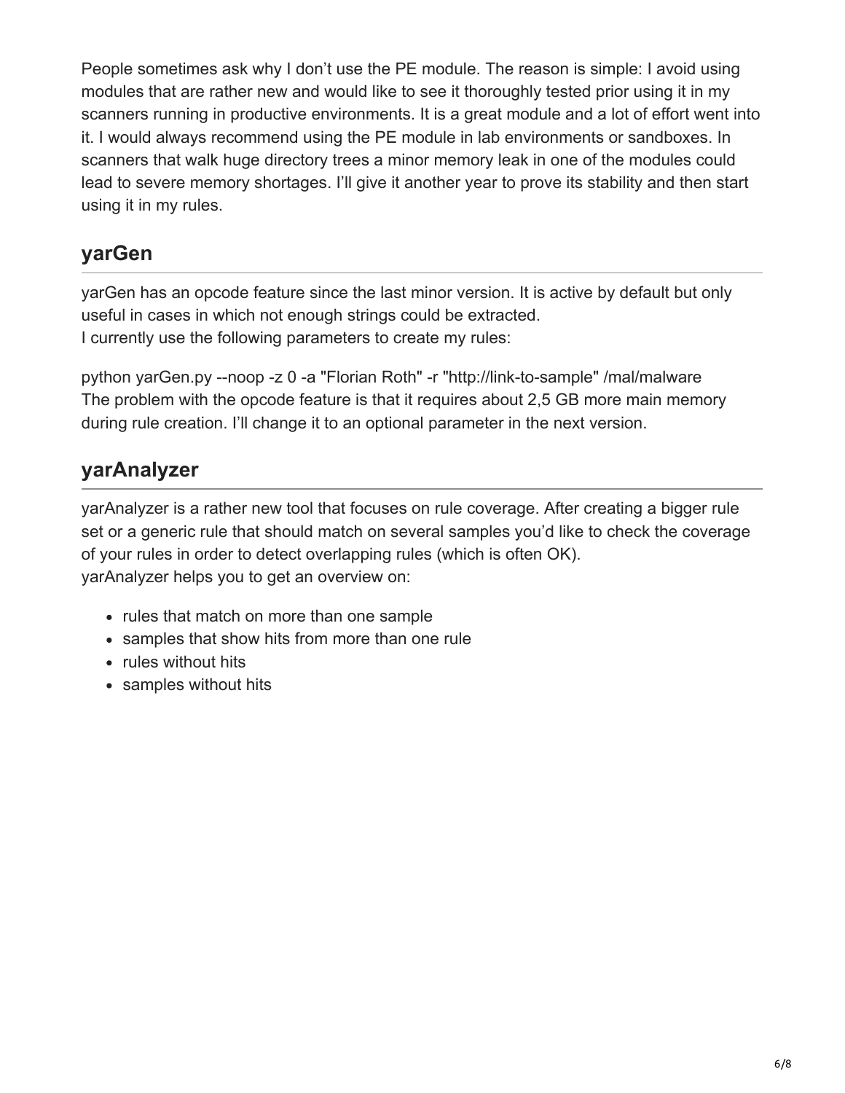People sometimes ask why I don't use the PE module. The reason is simple: I avoid using modules that are rather new and would like to see it thoroughly tested prior using it in my scanners running in productive environments. It is a great module and a lot of effort went into it. I would always recommend using the PE module in lab environments or sandboxes. In scanners that walk huge directory trees a minor memory leak in one of the modules could lead to severe memory shortages. I'll give it another year to prove its stability and then start using it in my rules.

#### **yarGen**

yarGen has an opcode feature since the last minor version. It is active by default but only useful in cases in which not enough strings could be extracted. I currently use the following parameters to create my rules:

python yarGen.py --noop -z 0 -a "Florian Roth" -r "http://link-to-sample" /mal/malware The problem with the opcode feature is that it requires about 2,5 GB more main memory during rule creation. I'll change it to an optional parameter in the next version.

## **yarAnalyzer**

yarAnalyzer is a rather new tool that focuses on rule coverage. After creating a bigger rule set or a generic rule that should match on several samples you'd like to check the coverage of your rules in order to detect overlapping rules (which is often OK). yarAnalyzer helps you to get an overview on:

- rules that match on more than one sample
- samples that show hits from more than one rule
- rules without hits
- samples without hits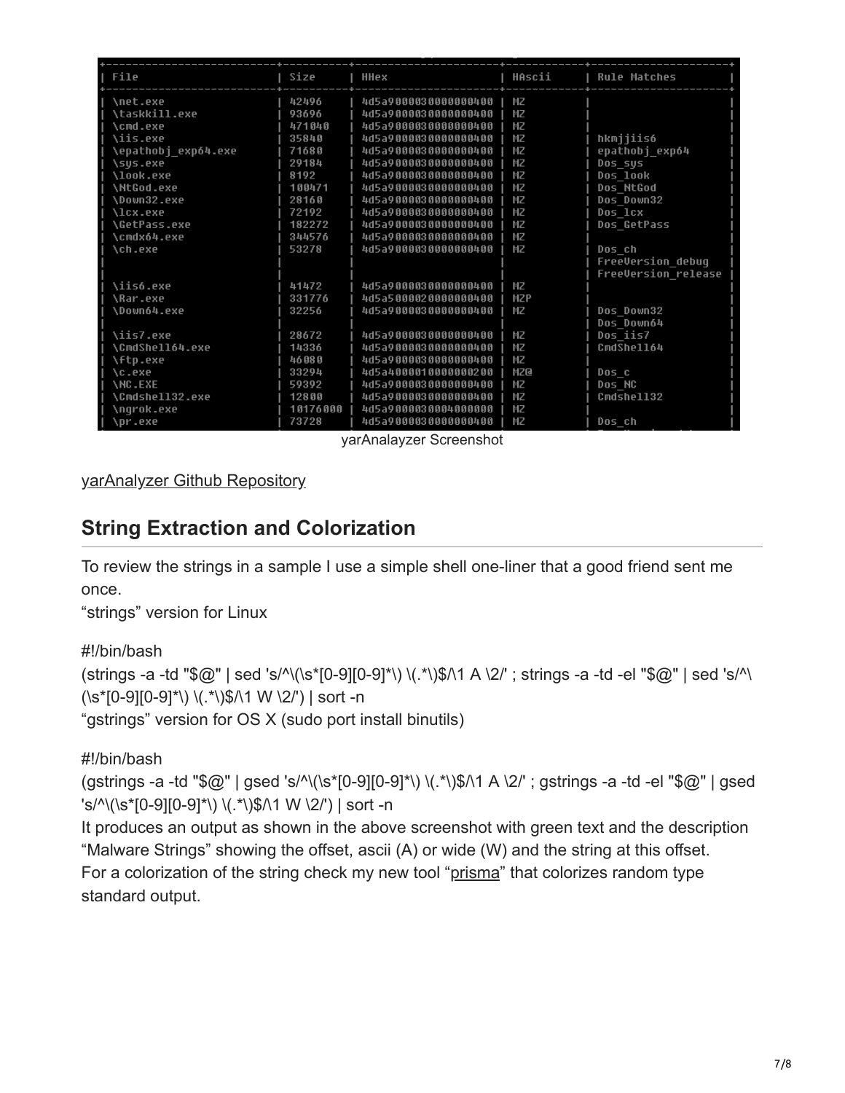| File                   | Size     | <b>HHex</b>          | HAscii         | <b>Rule Matches</b>      |
|------------------------|----------|----------------------|----------------|--------------------------|
| \net.exe               | 42496    | 4d5a9000030000000400 | МZ             |                          |
| \taskkill.exe          | 93696    | 4d5a9000030000000400 | МZ             |                          |
| <b>\cmd.exe</b>        | 471040   | 4d5a9000030000000400 | M <sub>Z</sub> |                          |
| <b>\iis.exe</b>        | 35840    | 4d5a9000030000000400 | МZ             | hkmijiis6                |
| \epathobj exp64.exe    | 71680    | 4d5a9000030000000400 | M <sub>Z</sub> | epathobj exp64           |
| \sus.exe               | 29184    | 4d5a9000030000000400 | МZ             | Dos sus                  |
| \look.exe              | 8192     | 4d5a9000030000000400 | MZ             | Dos look                 |
| <b>\NtGod.exe</b>      | 100471   | 4d5a9000030000000400 | МZ             | Dos NtGod                |
| \Down32.exe            | 28160    | 4d5a9000030000000400 | M <sub>Z</sub> | Dos Down32               |
| <b>\lcx.exe</b>        | 72192    | 4d5a9000030000000400 | МZ             | Dos 1cx                  |
| <b>\GetPass.exe</b>    | 182272   | 4d5a9000030000000400 | МZ             | Dos GetPass              |
| \cmdx64.exe            | 344576   | 4d5a9000030000000400 | MZ             |                          |
| <b>\ch.exe</b>         | 53278    | 4d5a9000030000000400 | МZ             | Dos ch                   |
|                        |          |                      |                | <b>FreeVersion debug</b> |
|                        |          |                      |                | FreeVersion release      |
| \iis6.exe              | 41472    | 4d5a9000030000000400 | МZ             |                          |
| <b>\Rar.exe</b>        | 331776   | 4d5a5000020000000400 | <b>MZP</b>     |                          |
| \Down64.exe            | 32256    | 4d5a9000030000000400 | MZ             | Dos Down32               |
|                        |          |                      |                | Dos Down64               |
| \iis7.exe              | 28672    | 4d5a9000030000000400 | МZ             | Dos iis7                 |
| <b>\CmdShell64.exe</b> | 14336    | 4d5a9000030000000400 | МZ             | CmdShell64               |
| \ftp.exe               | 46080    | 4d5a9000030000000400 | МZ             |                          |
| <b>\c.exe</b>          | 33294    | 4d5a4000010000000200 | <b>MZQ</b>     | Dos c                    |
| <b>INC.EXE</b>         | 59392    | 4d5a9000030000000400 | MZ             | Dos NC                   |
| <b>\Cmdshell32.exe</b> | 12800    | 4d5a9000030000000400 | MZ             | Cmdshell32               |
| \ngrok.exe             | 10176000 | 4d5a9000030004000000 | МZ             |                          |
| \pr.exe                | 73728    | 4d5a9000030000000400 | МZ             | Dos ch                   |

yarAnalayzer Screenshot

[yarAnalyzer Github Repository](https://github.com/Neo23x0/yarAnalyzer)

## **String Extraction and Colorization**

To review the strings in a sample I use a simple shell one-liner that a good friend sent me once.

"strings" version for Linux

```
#!/bin/bash
```

```
(strings -a -td "$@" | sed 's/^\(\s*[0-9][0-9]*\) \(.*\)$/\1 A \2/' ; strings -a -td -el "$@" | sed 's/^\
(\s^{-1}(s^{-1}) \cdot 9) (\s<sup>*</sup>[0-9][0-9]*\) \(.*\)$/\1 W \2/') | sort -n
```
"gstrings" version for OS X (sudo port install binutils)

#!/bin/bash

(gstrings -a -td "\$@" | gsed 's/^\(\s\*[0-9][0-9]\*\) \(.\*\)\$/\1 A \2/' ; gstrings -a -td -el "\$@" | gsed 's/^\(\s\*[0-9][0-9]\*\) \(.\*\)\$/\1 W \2/') | sort -n

It produces an output as shown in the above screenshot with green text and the description "Malware Strings" showing the offset, ascii (A) or wide (W) and the string at this offset. For a colorization of the string check my new tool ["prisma](https://github.com/Neo23x0/prisma)" that colorizes random type standard output.